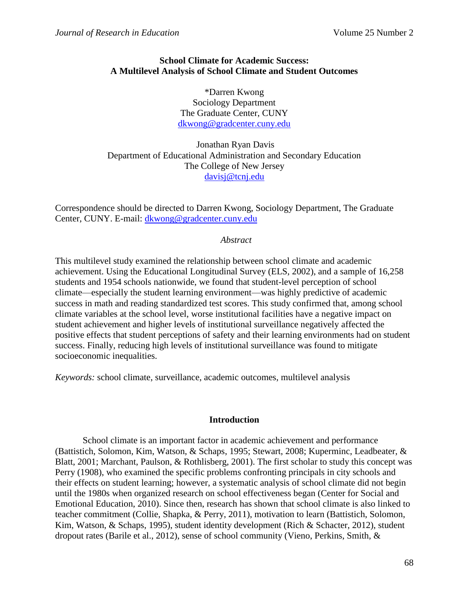# **School Climate for Academic Success: A Multilevel Analysis of School Climate and Student Outcomes**

\*Darren Kwong Sociology Department The Graduate Center, CUNY [dkwong@gradcenter.cuny.edu](mailto:dkwong@gradcenter.cuny.edu)

Jonathan Ryan Davis Department of Educational Administration and Secondary Education The College of New Jersey [davisj@tcnj.edu](mailto:davisj@tcnj.edu)

Correspondence should be directed to Darren Kwong, Sociology Department, The Graduate Center, CUNY. E-mail: [dkwong@gradcenter.cuny.edu](mailto:dkwong@gradcenter.cuny.edu)

# *Abstract*

This multilevel study examined the relationship between school climate and academic achievement. Using the Educational Longitudinal Survey (ELS, 2002), and a sample of 16,258 students and 1954 schools nationwide, we found that student-level perception of school climate—especially the student learning environment—was highly predictive of academic success in math and reading standardized test scores. This study confirmed that, among school climate variables at the school level, worse institutional facilities have a negative impact on student achievement and higher levels of institutional surveillance negatively affected the positive effects that student perceptions of safety and their learning environments had on student success. Finally, reducing high levels of institutional surveillance was found to mitigate socioeconomic inequalities.

*Keywords:* school climate, surveillance, academic outcomes, multilevel analysis

## **Introduction**

School climate is an important factor in academic achievement and performance (Battistich, Solomon, Kim, Watson, & Schaps, 1995; Stewart, 2008; Kuperminc, Leadbeater, & Blatt, 2001; Marchant, Paulson, & Rothlisberg, 2001). The first scholar to study this concept was Perry (1908), who examined the specific problems confronting principals in city schools and their effects on student learning; however, a systematic analysis of school climate did not begin until the 1980s when organized research on school effectiveness began (Center for Social and Emotional Education, 2010). Since then, research has shown that school climate is also linked to teacher commitment (Collie, Shapka, & Perry, 2011), motivation to learn (Battistich, Solomon, Kim, Watson, & Schaps, 1995), student identity development (Rich & Schacter, 2012), student dropout rates (Barile et al., 2012), sense of school community (Vieno, Perkins, Smith, &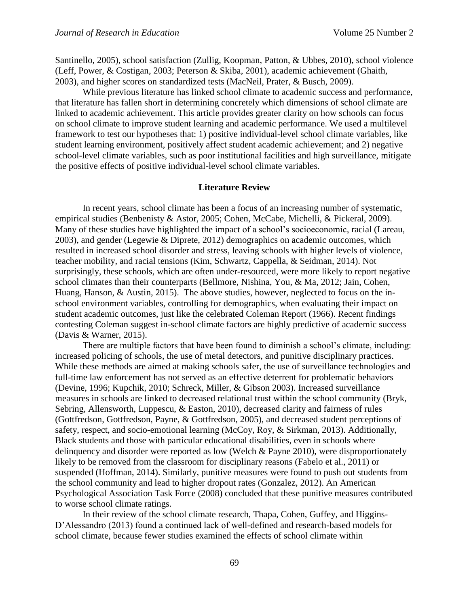Santinello, 2005), school satisfaction (Zullig, Koopman, Patton, & Ubbes, 2010), school violence (Leff, Power, & Costigan, 2003; Peterson & Skiba, 2001), academic achievement (Ghaith, 2003), and higher scores on standardized tests (MacNeil, Prater, & Busch, 2009).

While previous literature has linked school climate to academic success and performance, that literature has fallen short in determining concretely which dimensions of school climate are linked to academic achievement. This article provides greater clarity on how schools can focus on school climate to improve student learning and academic performance. We used a multilevel framework to test our hypotheses that: 1) positive individual-level school climate variables, like student learning environment, positively affect student academic achievement; and 2) negative school-level climate variables, such as poor institutional facilities and high surveillance, mitigate the positive effects of positive individual-level school climate variables.

### **Literature Review**

In recent years, school climate has been a focus of an increasing number of systematic, empirical studies (Benbenisty & Astor, 2005; Cohen, McCabe, Michelli, & Pickeral, 2009). Many of these studies have highlighted the impact of a school's socioeconomic, racial (Lareau, 2003), and gender (Legewie & Diprete, 2012) demographics on academic outcomes, which resulted in increased school disorder and stress, leaving schools with higher levels of violence, teacher mobility, and racial tensions (Kim, Schwartz, Cappella, & Seidman, 2014). Not surprisingly, these schools, which are often under-resourced, were more likely to report negative school climates than their counterparts (Bellmore, Nishina, You, & Ma, 2012; Jain, Cohen, Huang, Hanson, & Austin, 2015). The above studies, however, neglected to focus on the inschool environment variables, controlling for demographics, when evaluating their impact on student academic outcomes, just like the celebrated Coleman Report (1966). Recent findings contesting Coleman suggest in-school climate factors are highly predictive of academic success (Davis & Warner, 2015).

There are multiple factors that have been found to diminish a school's climate, including: increased policing of schools, the use of metal detectors, and punitive disciplinary practices. While these methods are aimed at making schools safer, the use of surveillance technologies and full-time law enforcement has not served as an effective deterrent for problematic behaviors (Devine, 1996; Kupchik, 2010; Schreck, Miller, & Gibson 2003). Increased surveillance measures in schools are linked to decreased relational trust within the school community (Bryk, Sebring, Allensworth, Luppescu, & Easton, 2010), decreased clarity and fairness of rules (Gottfredson, Gottfredson, Payne, & Gottfredson, 2005), and decreased student perceptions of safety, respect, and socio-emotional learning (McCoy, Roy, & Sirkman, 2013). Additionally, Black students and those with particular educational disabilities, even in schools where delinquency and disorder were reported as low (Welch & Payne 2010), were disproportionately likely to be removed from the classroom for disciplinary reasons (Fabelo et al., 2011) or suspended (Hoffman, 2014). Similarly, punitive measures were found to push out students from the school community and lead to higher dropout rates (Gonzalez, 2012). An American Psychological Association Task Force (2008) concluded that these punitive measures contributed to worse school climate ratings.

In their review of the school climate research, Thapa, Cohen, Guffey, and Higgins-D'Alessandro (2013) found a continued lack of well-defined and research-based models for school climate, because fewer studies examined the effects of school climate within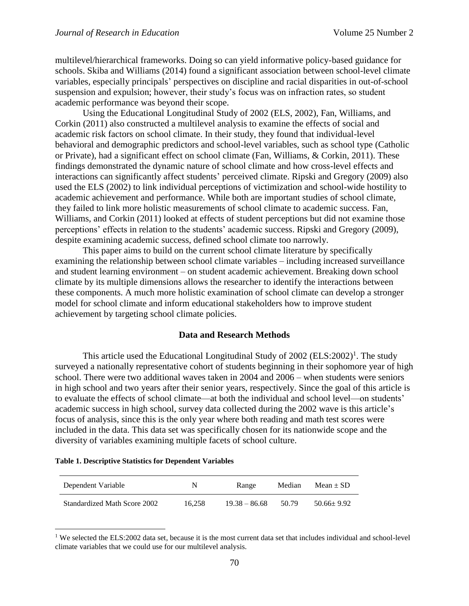multilevel/hierarchical frameworks. Doing so can yield informative policy-based guidance for schools. Skiba and Williams (2014) found a significant association between school-level climate variables, especially principals' perspectives on discipline and racial disparities in out-of-school suspension and expulsion; however, their study's focus was on infraction rates, so student academic performance was beyond their scope.

Using the Educational Longitudinal Study of 2002 (ELS, 2002), Fan, Williams, and Corkin (2011) also constructed a multilevel analysis to examine the effects of social and academic risk factors on school climate. In their study, they found that individual-level behavioral and demographic predictors and school-level variables, such as school type (Catholic or Private), had a significant effect on school climate (Fan, Williams, & Corkin, 2011). These findings demonstrated the dynamic nature of school climate and how cross-level effects and interactions can significantly affect students' perceived climate. Ripski and Gregory (2009) also used the ELS (2002) to link individual perceptions of victimization and school-wide hostility to academic achievement and performance. While both are important studies of school climate, they failed to link more holistic measurements of school climate to academic success. Fan, Williams, and Corkin (2011) looked at effects of student perceptions but did not examine those perceptions' effects in relation to the students' academic success. Ripski and Gregory (2009), despite examining academic success, defined school climate too narrowly.

This paper aims to build on the current school climate literature by specifically examining the relationship between school climate variables – including increased surveillance and student learning environment – on student academic achievement. Breaking down school climate by its multiple dimensions allows the researcher to identify the interactions between these components. A much more holistic examination of school climate can develop a stronger model for school climate and inform educational stakeholders how to improve student achievement by targeting school climate policies.

## **Data and Research Methods**

This article used the Educational Longitudinal Study of  $2002$  (ELS: $2002$ )<sup>1</sup>. The study surveyed a nationally representative cohort of students beginning in their sophomore year of high school. There were two additional waves taken in 2004 and 2006 – when students were seniors in high school and two years after their senior years, respectively. Since the goal of this article is to evaluate the effects of school climate—at both the individual and school level—on students' academic success in high school, survey data collected during the 2002 wave is this article's focus of analysis, since this is the only year where both reading and math test scores were included in the data. This data set was specifically chosen for its nationwide scope and the diversity of variables examining multiple facets of school culture.

#### **Table 1. Descriptive Statistics for Dependent Variables**

 $\overline{a}$ 

| Dependent Variable           | N      | Range           | Median | Mean $\pm$ SD    |
|------------------------------|--------|-----------------|--------|------------------|
| Standardized Math Score 2002 | 16.258 | $19.38 - 86.68$ | 50.79  | $50.66 \pm 9.92$ |

<sup>&</sup>lt;sup>1</sup> We selected the ELS:2002 data set, because it is the most current data set that includes individual and school-level climate variables that we could use for our multilevel analysis.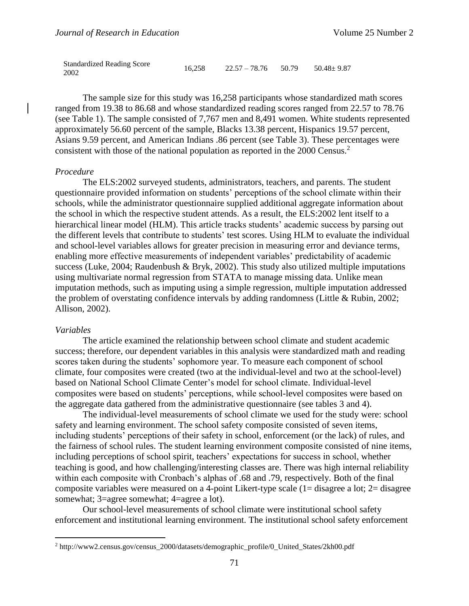| <b>Standardized Reading Score</b> | 16,258 | $22.57 - 78.76$ 50.79 | $50.48 \pm 9.87$ |
|-----------------------------------|--------|-----------------------|------------------|
| 2002                              |        |                       |                  |

The sample size for this study was 16,258 participants whose standardized math scores ranged from 19.38 to 86.68 and whose standardized reading scores ranged from 22.57 to 78.76 (see Table 1). The sample consisted of 7,767 men and 8,491 women. White students represented approximately 56.60 percent of the sample, Blacks 13.38 percent, Hispanics 19.57 percent, Asians 9.59 percent, and American Indians .86 percent (see Table 3). These percentages were consistent with those of the national population as reported in the 2000 Census.<sup>2</sup>

#### *Procedure*

The ELS:2002 surveyed students, administrators, teachers, and parents. The student questionnaire provided information on students' perceptions of the school climate within their schools, while the administrator questionnaire supplied additional aggregate information about the school in which the respective student attends. As a result, the ELS:2002 lent itself to a hierarchical linear model (HLM). This article tracks students' academic success by parsing out the different levels that contribute to students' test scores. Using HLM to evaluate the individual and school-level variables allows for greater precision in measuring error and deviance terms, enabling more effective measurements of independent variables' predictability of academic success (Luke, 2004; Raudenbush & Bryk, 2002). This study also utilized multiple imputations using multivariate normal regression from STATA to manage missing data. Unlike mean imputation methods, such as imputing using a simple regression, multiple imputation addressed the problem of overstating confidence intervals by adding randomness (Little & Rubin, 2002; Allison, 2002).

### *Variables*

 $\overline{a}$ 

The article examined the relationship between school climate and student academic success; therefore, our dependent variables in this analysis were standardized math and reading scores taken during the students' sophomore year. To measure each component of school climate, four composites were created (two at the individual-level and two at the school-level) based on National School Climate Center's model for school climate. Individual-level composites were based on students' perceptions, while school-level composites were based on the aggregate data gathered from the administrative questionnaire (see tables 3 and 4).

The individual-level measurements of school climate we used for the study were: school safety and learning environment. The school safety composite consisted of seven items, including students' perceptions of their safety in school, enforcement (or the lack) of rules, and the fairness of school rules. The student learning environment composite consisted of nine items, including perceptions of school spirit, teachers' expectations for success in school, whether teaching is good, and how challenging/interesting classes are. There was high internal reliability within each composite with Cronbach's alphas of .68 and .79, respectively. Both of the final composite variables were measured on a 4-point Likert-type scale (1= disagree a lot; 2= disagree somewhat; 3=agree somewhat; 4=agree a lot).

Our school-level measurements of school climate were institutional school safety enforcement and institutional learning environment. The institutional school safety enforcement

<sup>2</sup> http://www2.census.gov/census\_2000/datasets/demographic\_profile/0\_United\_States/2kh00.pdf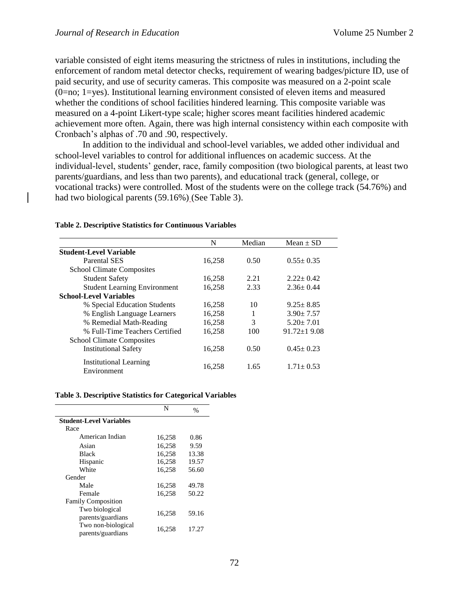variable consisted of eight items measuring the strictness of rules in institutions, including the enforcement of random metal detector checks, requirement of wearing badges/picture ID, use of paid security, and use of security cameras. This composite was measured on a 2-point scale (0=no; 1=yes). Institutional learning environment consisted of eleven items and measured whether the conditions of school facilities hindered learning. This composite variable was measured on a 4-point Likert-type scale; higher scores meant facilities hindered academic achievement more often. Again, there was high internal consistency within each composite with Cronbach's alphas of .70 and .90, respectively.

In addition to the individual and school-level variables, we added other individual and school-level variables to control for additional influences on academic success. At the individual-level, students' gender, race, family composition (two biological parents, at least two parents/guardians, and less than two parents), and educational track (general, college, or vocational tracks) were controlled. Most of the students were on the college track (54.76%) and had two biological parents (59.16%) (See Table 3).

|                                       | N      | Median | Mean $\pm$ SD     |
|---------------------------------------|--------|--------|-------------------|
|                                       |        |        |                   |
| <b>Student-Level Variable</b>         |        |        |                   |
| Parental SES                          | 16,258 | 0.50   | $0.55 \pm 0.35$   |
| <b>School Climate Composites</b>      |        |        |                   |
| <b>Student Safety</b>                 | 16,258 | 2.21   | $2.22 \pm 0.42$   |
| <b>Student Learning Environment</b>   | 16,258 | 2.33   | $2.36 \pm 0.44$   |
| <b>School-Level Variables</b>         |        |        |                   |
| % Special Education Students          | 16,258 | 10     | $9.25 \pm 8.85$   |
| % English Language Learners           | 16,258 |        | $3.90 \pm 7.57$   |
| % Remedial Math-Reading               | 16,258 | 3      | $5.20 \pm 7.01$   |
| % Full-Time Teachers Certified        | 16,258 | 100    | $91.72 \pm 19.08$ |
| <b>School Climate Composites</b>      |        |        |                   |
| <b>Institutional Safety</b>           | 16,258 | 0.50   | $0.45 \pm 0.23$   |
| Institutional Learning<br>Environment | 16,258 | 1.65   | $1.71 \pm 0.53$   |

### **Table 2. Descriptive Statistics for Continuous Variables**

#### **Table 3. Descriptive Statistics for Categorical Variables**

|                                         | N      | $\frac{0}{0}$ |
|-----------------------------------------|--------|---------------|
| <b>Student-Level Variables</b>          |        |               |
| Race                                    |        |               |
| American Indian                         | 16,258 | 0.86          |
| Asian                                   | 16.258 | 9.59          |
| <b>Black</b>                            | 16,258 | 13.38         |
| Hispanic                                | 16,258 | 19.57         |
| White                                   | 16,258 | 56.60         |
| Gender                                  |        |               |
| Male                                    | 16,258 | 49.78         |
| Female                                  | 16.258 | 50.22         |
| <b>Family Composition</b>               |        |               |
| Two biological<br>parents/guardians     | 16,258 | 59.16         |
| Two non-biological<br>parents/guardians | 16.258 | 17.27         |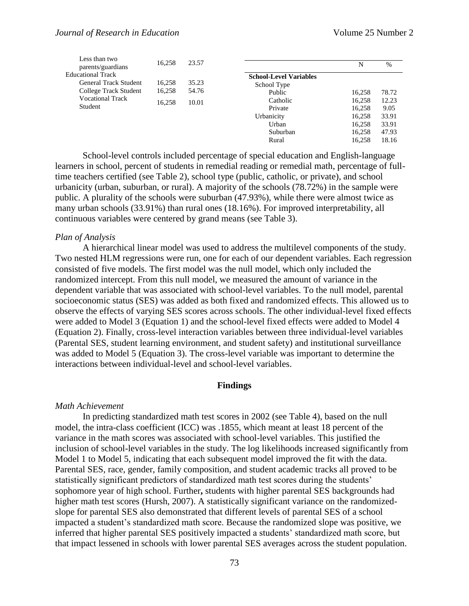| Less than two<br>parents/guardians | 16.258 | 23.57 |                               | N      | $\%$  |
|------------------------------------|--------|-------|-------------------------------|--------|-------|
| <b>Educational Track</b>           |        |       | <b>School-Level Variables</b> |        |       |
| General Track Student              | 16,258 | 35.23 | School Type                   |        |       |
| College Track Student              | 16,258 | 54.76 | Public                        | 16.258 | 78.72 |
| <b>Vocational Track</b>            | 16.258 | 10.01 | Catholic                      | 16,258 | 12.23 |
| Student                            |        |       | Private                       | 16,258 | 9.05  |
|                                    |        |       | Urbanicity                    | 16,258 | 33.91 |
|                                    |        |       | Urban                         | 16,258 | 33.91 |
|                                    |        |       | Suburban                      | 16,258 | 47.93 |
|                                    |        |       | Rural                         | 16.258 | 18.16 |

School-level controls included percentage of special education and English-language learners in school, percent of students in remedial reading or remedial math, percentage of fulltime teachers certified (see Table 2), school type (public, catholic, or private), and school urbanicity (urban, suburban, or rural). A majority of the schools (78.72%) in the sample were public. A plurality of the schools were suburban (47.93%), while there were almost twice as many urban schools (33.91%) than rural ones (18.16%). For improved interpretability, all continuous variables were centered by grand means (see Table 3).

#### *Plan of Analysis*

A hierarchical linear model was used to address the multilevel components of the study. Two nested HLM regressions were run, one for each of our dependent variables. Each regression consisted of five models. The first model was the null model, which only included the randomized intercept. From this null model, we measured the amount of variance in the dependent variable that was associated with school-level variables. To the null model, parental socioeconomic status (SES) was added as both fixed and randomized effects. This allowed us to observe the effects of varying SES scores across schools. The other individual-level fixed effects were added to Model 3 (Equation 1) and the school-level fixed effects were added to Model 4 (Equation 2). Finally, cross-level interaction variables between three individual-level variables (Parental SES, student learning environment, and student safety) and institutional surveillance was added to Model 5 (Equation 3). The cross-level variable was important to determine the interactions between individual-level and school-level variables.

#### **Findings**

#### *Math Achievement*

In predicting standardized math test scores in 2002 (see Table 4), based on the null model, the intra-class coefficient (ICC) was .1855, which meant at least 18 percent of the variance in the math scores was associated with school-level variables. This justified the inclusion of school-level variables in the study. The log likelihoods increased significantly from Model 1 to Model 5, indicating that each subsequent model improved the fit with the data. Parental SES, race, gender, family composition, and student academic tracks all proved to be statistically significant predictors of standardized math test scores during the students' sophomore year of high school. Further**,** students with higher parental SES backgrounds had higher math test scores (Hursh, 2007). A statistically significant variance on the randomizedslope for parental SES also demonstrated that different levels of parental SES of a school impacted a student's standardized math score. Because the randomized slope was positive, we inferred that higher parental SES positively impacted a students' standardized math score, but that impact lessened in schools with lower parental SES averages across the student population.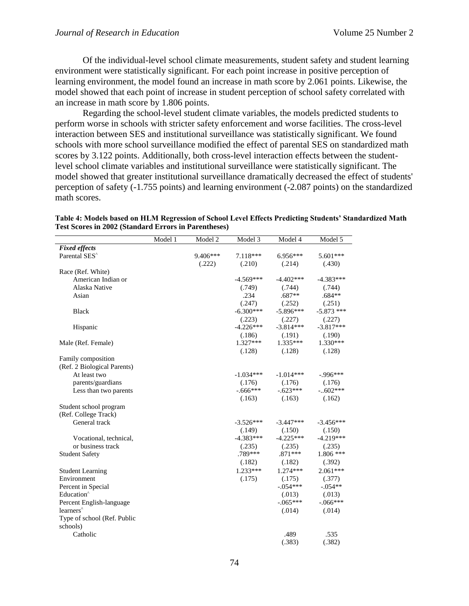Of the individual-level school climate measurements, student safety and student learning environment were statistically significant. For each point increase in positive perception of learning environment, the model found an increase in math score by 2.061 points. Likewise, the model showed that each point of increase in student perception of school safety correlated with an increase in math score by 1.806 points.

Regarding the school-level student climate variables, the models predicted students to perform worse in schools with stricter safety enforcement and worse facilities. The cross-level interaction between SES and institutional surveillance was statistically significant. We found schools with more school surveillance modified the effect of parental SES on standardized math scores by 3.122 points. Additionally, both cross-level interaction effects between the studentlevel school climate variables and institutional surveillance were statistically significant. The model showed that greater institutional surveillance dramatically decreased the effect of students' perception of safety (-1.755 points) and learning environment (-2.087 points) on the standardized math scores.

|                             | Model 1 | Model 2  | Model 3     | Model 4     | Model 5      |
|-----------------------------|---------|----------|-------------|-------------|--------------|
| <b>Fixed effects</b>        |         |          |             |             |              |
| Parental SES <sup>^</sup>   |         | 9.406*** | 7.118***    | $6.956***$  | 5.601***     |
|                             |         | (.222)   | (.210)      | (.214)      | (.430)       |
| Race (Ref. White)           |         |          |             |             |              |
| American Indian or          |         |          | $-4.569***$ | $-4.402***$ | $-4.383***$  |
| Alaska Native               |         |          | (.749)      | (.744)      | (.744)       |
| Asian                       |         |          | .234        | $.687**$    | $.684**$     |
|                             |         |          | (.247)      | (.252)      | (.251)       |
| <b>Black</b>                |         |          | $-6.300***$ | $-5.896***$ | $-5.873$ *** |
|                             |         |          | (.223)      | (.227)      | (.227)       |
| Hispanic                    |         |          | $-4.226***$ | $-3.814***$ | $-3.817***$  |
|                             |         |          | (.186)      | (.191)      | (.190)       |
| Male (Ref. Female)          |         |          | $1.327***$  | $1.335***$  | $1.330***$   |
|                             |         |          | (.128)      | (.128)      | (.128)       |
| Family composition          |         |          |             |             |              |
| (Ref. 2 Biological Parents) |         |          |             |             |              |
| At least two                |         |          | $-1.034***$ | $-1.014***$ | $-996***$    |
| parents/guardians           |         |          | (.176)      | (.176)      | (.176)       |
| Less than two parents       |         |          | $-0.666***$ | $-623***$   | $-.602***$   |
|                             |         |          | (.163)      | (.163)      | (.162)       |
| Student school program      |         |          |             |             |              |
| (Ref. College Track)        |         |          |             |             |              |
| General track               |         |          | $-3.526***$ | $-3.447***$ | $-3.456***$  |
|                             |         |          | (.149)      | (.150)      | (.150)       |
| Vocational, technical,      |         |          | $-4.383***$ | $-4.225***$ | $-4.219***$  |
| or business track           |         |          | (.235)      | (.235)      | (.235)       |
| <b>Student Safety</b>       |         |          | .789***     | $.871***$   | $1.806$ ***  |
|                             |         |          | (.182)      | (.182)      | (.392)       |
| <b>Student Learning</b>     |         |          | $1.233***$  | 1.274 ***   | $2.061***$   |
| Environment                 |         |          | (.175)      | (.175)      | (.377)       |
| Percent in Special          |         |          |             | $-.054***$  | $-.054**$    |
| Education <sup>^</sup>      |         |          |             | (.013)      | (.013)       |
| Percent English-language    |         |          |             | $-.065***$  | $-.066***$   |
| learners <sup>^</sup>       |         |          |             | (.014)      | (.014)       |
| Type of school (Ref. Public |         |          |             |             |              |
| schools)                    |         |          |             |             |              |
| Catholic                    |         |          |             | .489        | .535         |
|                             |         |          |             | (.383)      | (.382)       |

**Table 4: Models based on HLM Regression of School Level Effects Predicting Students' Standardized Math Test Scores in 2002 (Standard Errors in Parentheses)**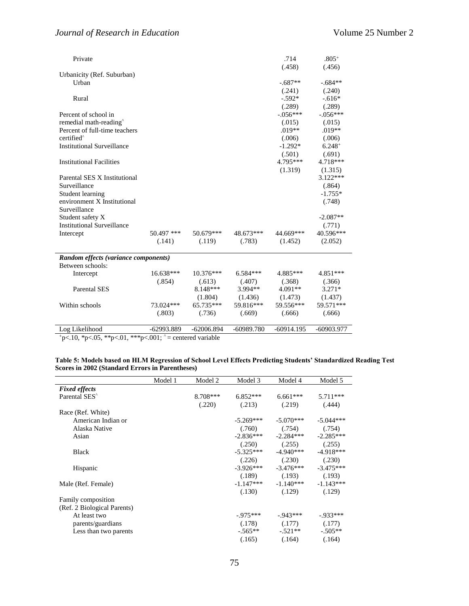| Private                              |              |              |              | .714         | $.805+$      |
|--------------------------------------|--------------|--------------|--------------|--------------|--------------|
|                                      |              |              |              | (.458)       | (.456)       |
| Urbanicity (Ref. Suburban)           |              |              |              |              |              |
| Urban                                |              |              |              | $-.687**$    | $-.684**$    |
|                                      |              |              |              | (.241)       | (.240)       |
| Rural                                |              |              |              | $-.592*$     | $-.616*$     |
|                                      |              |              |              | (.289)       | (.289)       |
| Percent of school in                 |              |              |              | $-.056***$   | $-.056***$   |
| remedial math-reading <sup>^</sup>   |              |              |              | (.015)       | (.015)       |
| Percent of full-time teachers        |              |              |              | $.019**$     | $.019**$     |
| certified <sup>^</sup>               |              |              |              | (.006)       | (.006)       |
| <b>Institutional Surveillance</b>    |              |              |              | $-1.292*$    | $6.248+$     |
|                                      |              |              |              | (.501)       | (.691)       |
| <b>Institutional Facilities</b>      |              |              |              | $4.795***$   | 4.718***     |
|                                      |              |              |              | (1.319)      | (1.315)      |
| Parental SES X Institutional         |              |              |              |              | $3.122***$   |
| Surveillance                         |              |              |              |              | (.864)       |
| Student learning                     |              |              |              |              | $-1.755*$    |
| environment X Institutional          |              |              |              |              | (.748)       |
| Surveillance                         |              |              |              |              |              |
| Student safety X                     |              |              |              |              | $-2.087**$   |
| <b>Institutional Surveillance</b>    |              |              |              |              | (.771)       |
| Intercept                            | $50.497$ *** | $50.679***$  | 48.673***    | 44.669***    | 40.596***    |
|                                      | (.141)       | (.119)       | (.783)       | (1.452)      | (2.052)      |
| Random effects (variance components) |              |              |              |              |              |
| Between schools:                     |              |              |              |              |              |
| Intercept                            | $16.638***$  | $10.376***$  | $6.584***$   | $4.885***$   | 4.851***     |
|                                      | (.854)       | (.613)       | (.407)       | (.368)       | (.366)       |
| <b>Parental SES</b>                  |              | $8.148***$   | $3.994**$    | $4.091**$    | $3.271*$     |
|                                      |              | (1.804)      | (1.436)      | (1.473)      | (1.437)      |
| Within schools                       | 73.024***    | $65.735***$  | 59.816***    | 59.556***    | 59.571***    |
|                                      | (.803)       | (.736)       | (.669)       | (.666)       | (.666)       |
| Log Likelihood                       | $-62993.889$ | $-62006.894$ | $-60989.780$ | $-60914.195$ | $-60903.977$ |

 $p<.10$ , \*p<.05, \*\*p<.01, \*\*\*p<.001; ^= centered variable

| Table 5: Models based on HLM Regression of School Level Effects Predicting Students' Standardized Reading Test |  |  |
|----------------------------------------------------------------------------------------------------------------|--|--|
| <b>Scores in 2002 (Standard Errors in Parentheses)</b>                                                         |  |  |

|                             | Model 1 | Model 2    | Model 3     | Model 4                             | Model 5     |
|-----------------------------|---------|------------|-------------|-------------------------------------|-------------|
| <b>Fixed effects</b>        |         |            |             |                                     |             |
| Parental SES <sup>^</sup>   |         | $8.708***$ | $6.852***$  | $6.661***$                          | 5.711***    |
|                             |         | (.220)     | (.213)      | (.219)                              | (.444)      |
| Race (Ref. White)           |         |            |             |                                     |             |
| American Indian or          |         |            | $-5.269***$ | $-5.070***$                         | $-5.044***$ |
| Alaska Native               |         |            |             | $(.760)$ $(.754)$                   | (.754)      |
| Asian                       |         |            |             | $-2.836***$ $-2.284***$ $-2.285***$ |             |
|                             |         |            | (.250)      | (.255)                              | (.255)      |
| <b>Black</b>                |         |            |             | $-5.325***$ $-4.940***$             | $-4.918***$ |
|                             |         |            | (.226)      | (.230)                              | (.230)      |
| Hispanic                    |         |            |             | $-3.926***$ $-3.476***$ $-3.475***$ |             |
|                             |         |            |             | $(.189)$ $(.193)$ $(.193)$          |             |
| Male (Ref. Female)          |         |            |             | $-1.147***$ $-1.140***$             | $-1.143***$ |
|                             |         |            | (.130)      | (.129)                              | (.129)      |
| Family composition          |         |            |             |                                     |             |
| (Ref. 2 Biological Parents) |         |            |             |                                     |             |
| At least two                |         |            | $-975***$   | -.943***                            | $-0.933***$ |
| parents/guardians           |         |            | (.178)      | (.177)                              | (.177)      |
| Less than two parents       |         |            | $-.565**$   | $-.521**$                           | $-.505**$   |
|                             |         |            | (.165)      | (.164)                              | (.164)      |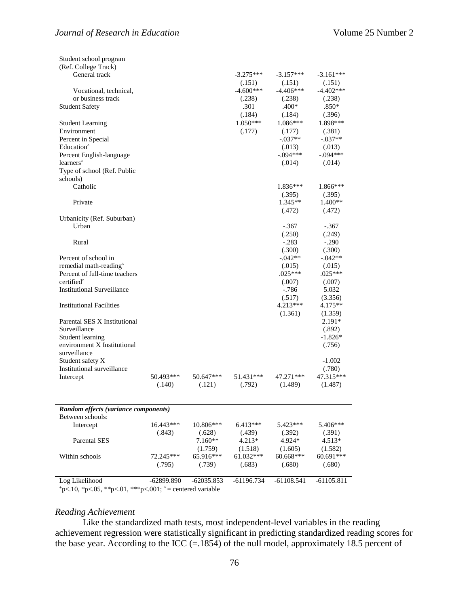| Student school program                          |            |              |                       |                       |                       |
|-------------------------------------------------|------------|--------------|-----------------------|-----------------------|-----------------------|
| (Ref. College Track)                            |            |              |                       |                       |                       |
| General track                                   |            |              | $-3.275***$           | $-3.157***$           | $-3.161***$           |
| Vocational, technical,                          |            |              | (.151)<br>$-4.600***$ | (.151)<br>$-4.406***$ | (.151)<br>$-4.402***$ |
| or business track                               |            |              | (.238)                | (.238)                | (.238)                |
| <b>Student Safety</b>                           |            |              | .301                  | $.400*$               | $.850*$               |
|                                                 |            |              | (.184)                | (.184)                | (.396)                |
| <b>Student Learning</b>                         |            |              | $1.050***$            | 1.086***              | 1.898***              |
| Environment<br>Percent in Special               |            |              | (.177)                | (.177)<br>$-.037**$   | (.381)<br>$-.037**$   |
| Education <sup>^</sup>                          |            |              |                       | (.013)                | (.013)                |
| Percent English-language                        |            |              |                       | $-.094***$            | $-.094***$            |
| learners <sup>^</sup>                           |            |              |                       | (.014)                | (.014)                |
| Type of school (Ref. Public                     |            |              |                       |                       |                       |
| schools)                                        |            |              |                       |                       |                       |
| Catholic                                        |            |              |                       | $1.836***$            | 1.866***              |
|                                                 |            |              |                       | (.395)                | (.395)                |
| Private                                         |            |              |                       | $1.345**$             | $1.400**$             |
|                                                 |            |              |                       | (.472)                | (.472)                |
| Urbanicity (Ref. Suburban)                      |            |              |                       |                       |                       |
| Urban                                           |            |              |                       | $-.367$<br>(.250)     | $-.367$<br>(.249)     |
| Rural                                           |            |              |                       | $-.283$               | $-.290$               |
|                                                 |            |              |                       | (.300)                | (.300)                |
| Percent of school in                            |            |              |                       | $-.042**$             | $-.042**$             |
| remedial math-reading <sup>^</sup>              |            |              |                       | (.015)                | (.015)                |
| Percent of full-time teachers                   |            |              |                       | $.025***$             | $.025***$             |
| certified <sup>^</sup>                          |            |              |                       | (.007)                | (.007)                |
| <b>Institutional Surveillance</b>               |            |              |                       | $-786$                | 5.032                 |
|                                                 |            |              |                       | (.517)                | (3.356)               |
| <b>Institutional Facilities</b>                 |            |              |                       | $4.213***$            | 4.175**               |
|                                                 |            |              |                       | (1.361)               | (1.359)               |
| Parental SES X Institutional                    |            |              |                       |                       | $2.191*$              |
| Surveillance                                    |            |              |                       |                       | (.892)<br>$-1.826*$   |
| Student learning<br>environment X Institutional |            |              |                       |                       | (.756)                |
| surveillance                                    |            |              |                       |                       |                       |
| Student safety X                                |            |              |                       |                       | $-1.002$              |
| Institutional surveillance                      |            |              |                       |                       | (.780)                |
| Intercept                                       | 50.493***  | 50.647***    | 51.431***             | 47.271***             | 47.315***             |
|                                                 | (.140)     | (.121)       | (.792)                | (1.489)               | (1.487)               |
|                                                 |            |              |                       |                       |                       |
| Random effects (variance components)            |            |              |                       |                       |                       |
| Between schools:                                |            |              |                       |                       |                       |
| Intercept                                       | 16.443***  | 10.806***    | $6.413***$            | 5.423***              | 5.406***              |
|                                                 | (.843)     | (.628)       | (.439)                | (.392)                | (.391)                |
| <b>Parental SES</b>                             |            | $7.160**$    | $4.213*$              | 4.924*                | $4.513*$              |
|                                                 |            | (1.759)      | (1.518)               | (1.605)               | (1.582)               |
| Within schools                                  | 72.245***  | 65.916***    | 61.032***             | 60.668***             | 60.691***             |
|                                                 | (.795)     | (.739)       | (.683)                | (.680)                | (.680)                |
|                                                 |            |              |                       |                       |                       |
| Log Likelihood                                  | -62899.890 | $-62035.853$ | $-61196.734$          | $-61108.541$          | $-61105.811$          |

 $p<.10$ , \*p<.05, \*\*p<.01, \*\*\*p<.001; ^= centered variable

### *Reading Achievement*

Like the standardized math tests, most independent-level variables in the reading achievement regression were statistically significant in predicting standardized reading scores for the base year. According to the ICC  $(=1854)$  of the null model, approximately 18.5 percent of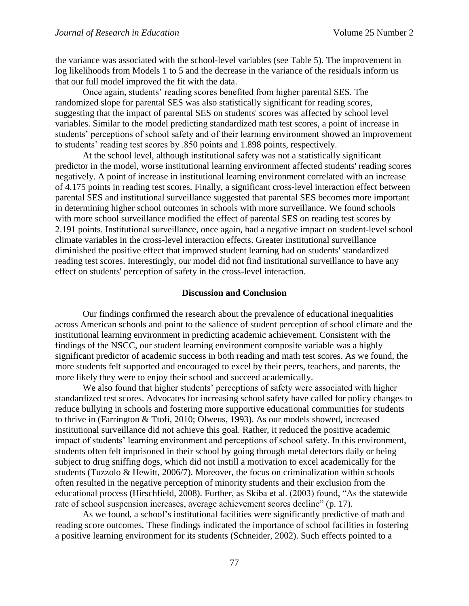the variance was associated with the school-level variables (see Table 5). The improvement in log likelihoods from Models 1 to 5 and the decrease in the variance of the residuals inform us that our full model improved the fit with the data.

Once again, students' reading scores benefited from higher parental SES. The randomized slope for parental SES was also statistically significant for reading scores, suggesting that the impact of parental SES on students' scores was affected by school level variables. Similar to the model predicting standardized math test scores, a point of increase in students' perceptions of school safety and of their learning environment showed an improvement to students' reading test scores by .850 points and 1.898 points, respectively.

At the school level, although institutional safety was not a statistically significant predictor in the model, worse institutional learning environment affected students' reading scores negatively. A point of increase in institutional learning environment correlated with an increase of 4.175 points in reading test scores. Finally, a significant cross-level interaction effect between parental SES and institutional surveillance suggested that parental SES becomes more important in determining higher school outcomes in schools with more surveillance. We found schools with more school surveillance modified the effect of parental SES on reading test scores by 2.191 points. Institutional surveillance, once again, had a negative impact on student-level school climate variables in the cross-level interaction effects. Greater institutional surveillance diminished the positive effect that improved student learning had on students' standardized reading test scores. Interestingly, our model did not find institutional surveillance to have any effect on students' perception of safety in the cross-level interaction.

### **Discussion and Conclusion**

Our findings confirmed the research about the prevalence of educational inequalities across American schools and point to the salience of student perception of school climate and the institutional learning environment in predicting academic achievement. Consistent with the findings of the NSCC, our student learning environment composite variable was a highly significant predictor of academic success in both reading and math test scores. As we found, the more students felt supported and encouraged to excel by their peers, teachers, and parents, the more likely they were to enjoy their school and succeed academically.

We also found that higher students' perceptions of safety were associated with higher standardized test scores. Advocates for increasing school safety have called for policy changes to reduce bullying in schools and fostering more supportive educational communities for students to thrive in (Farrington & Ttofi, 2010; Olweus, 1993). As our models showed, increased institutional surveillance did not achieve this goal. Rather, it reduced the positive academic impact of students' learning environment and perceptions of school safety. In this environment, students often felt imprisoned in their school by going through metal detectors daily or being subject to drug sniffing dogs, which did not instill a motivation to excel academically for the students (Tuzzolo & Hewitt, 2006/7). Moreover, the focus on criminalization within schools often resulted in the negative perception of minority students and their exclusion from the educational process (Hirschfield, 2008). Further, as Skiba et al. (2003) found, "As the statewide rate of school suspension increases, average achievement scores decline" (p. 17).

As we found, a school's institutional facilities were significantly predictive of math and reading score outcomes. These findings indicated the importance of school facilities in fostering a positive learning environment for its students (Schneider, 2002). Such effects pointed to a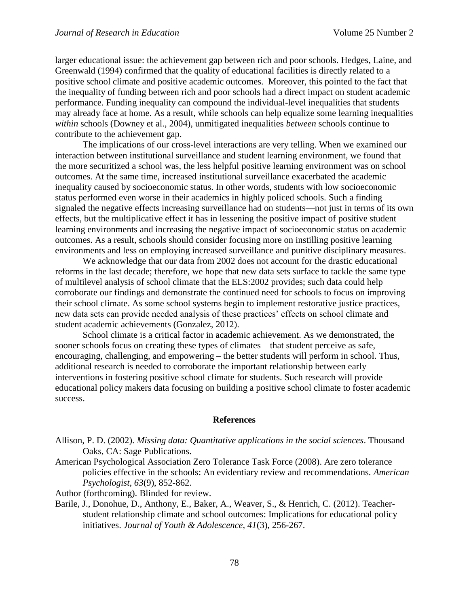larger educational issue: the achievement gap between rich and poor schools. Hedges, Laine, and Greenwald (1994) confirmed that the quality of educational facilities is directly related to a positive school climate and positive academic outcomes. Moreover, this pointed to the fact that the inequality of funding between rich and poor schools had a direct impact on student academic performance. Funding inequality can compound the individual-level inequalities that students may already face at home. As a result, while schools can help equalize some learning inequalities *within* schools (Downey et al., 2004), unmitigated inequalities *between* schools continue to contribute to the achievement gap.

The implications of our cross-level interactions are very telling. When we examined our interaction between institutional surveillance and student learning environment, we found that the more securitized a school was, the less helpful positive learning environment was on school outcomes. At the same time, increased institutional surveillance exacerbated the academic inequality caused by socioeconomic status. In other words, students with low socioeconomic status performed even worse in their academics in highly policed schools. Such a finding signaled the negative effects increasing surveillance had on students—not just in terms of its own effects, but the multiplicative effect it has in lessening the positive impact of positive student learning environments and increasing the negative impact of socioeconomic status on academic outcomes. As a result, schools should consider focusing more on instilling positive learning environments and less on employing increased surveillance and punitive disciplinary measures.

We acknowledge that our data from 2002 does not account for the drastic educational reforms in the last decade; therefore, we hope that new data sets surface to tackle the same type of multilevel analysis of school climate that the ELS:2002 provides; such data could help corroborate our findings and demonstrate the continued need for schools to focus on improving their school climate. As some school systems begin to implement restorative justice practices, new data sets can provide needed analysis of these practices' effects on school climate and student academic achievements (Gonzalez, 2012).

School climate is a critical factor in academic achievement. As we demonstrated, the sooner schools focus on creating these types of climates – that student perceive as safe, encouraging, challenging, and empowering – the better students will perform in school. Thus, additional research is needed to corroborate the important relationship between early interventions in fostering positive school climate for students. Such research will provide educational policy makers data focusing on building a positive school climate to foster academic success.

#### **References**

Allison, P. D. (2002). *Missing data: Quantitative applications in the social sciences*. Thousand Oaks, CA: Sage Publications.

American Psychological Association Zero Tolerance Task Force (2008). Are zero tolerance policies effective in the schools: An evidentiary review and recommendations. *American Psychologist, 63*(9), 852-862.

Author (forthcoming). Blinded for review.

Barile, J., Donohue, D., Anthony, E., Baker, A., Weaver, S., & Henrich, C. (2012). Teacherstudent relationship climate and school outcomes: Implications for educational policy initiatives. *Journal of Youth & Adolescence, 41*(3), 256-267.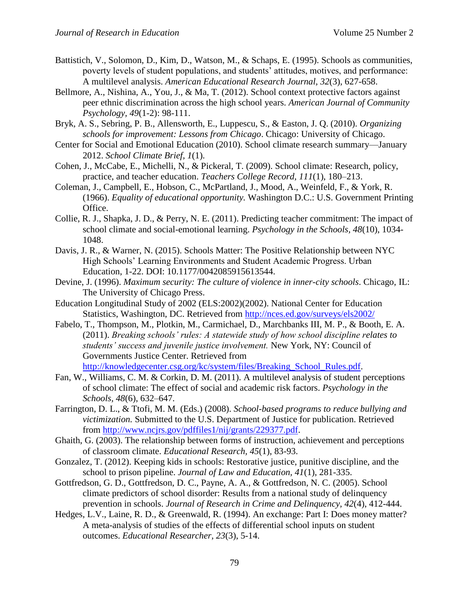- Battistich, V., Solomon, D., Kim, D., Watson, M., & Schaps, E. (1995). Schools as communities, poverty levels of student populations, and students' attitudes, motives, and performance: A multilevel analysis. *American Educational Research Journal, 32*(3), 627-658.
- Bellmore, A., Nishina, A., You, J., & Ma, T. (2012). School context protective factors against peer ethnic discrimination across the high school years. *American Journal of Community Psychology, 49*(1-2): 98-111.
- Bryk, A. S., Sebring, P. B., Allensworth, E., Luppescu, S., & Easton, J. Q. (2010). *Organizing schools for improvement: Lessons from Chicago*. Chicago: University of Chicago.
- Center for Social and Emotional Education (2010). School climate research summary—January 2012. *School Climate Brief, 1*(1).
- Cohen, J., McCabe, E., Michelli, N., & Pickeral, T. (2009). School climate: Research, policy, practice, and teacher education. *Teachers College Record, 111*(1), 180–213.
- Coleman, J., Campbell, E., Hobson, C., McPartland, J., Mood, A., Weinfeld, F., & York, R. (1966). *Equality of educational opportunity.* Washington D.C.: U.S. Government Printing Office.
- Collie, R. J., Shapka, J. D., & Perry, N. E. (2011). Predicting teacher commitment: The impact of school climate and social-emotional learning. *Psychology in the Schools, 48*(10), 1034- 1048.
- Davis, J. R., & Warner, N. (2015). Schools Matter: The Positive Relationship between NYC High Schools' Learning Environments and Student Academic Progress. Urban Education, 1-22. DOI: 10.1177/0042085915613544.
- Devine, J. (1996). *Maximum security: The culture of violence in inner-city schools*. Chicago, IL: The University of Chicago Press.
- Education Longitudinal Study of 2002 (ELS:2002)(2002). National Center for Education Statistics, Washington, DC. Retrieved from<http://nces.ed.gov/surveys/els2002/>
- Fabelo, T., Thompson, M., Plotkin, M., Carmichael, D., Marchbanks III, M. P., & Booth, E. A. (2011). *Breaking schools' rules: A statewide study of how school discipline relates to students' success and juvenile justice involvement.* New York, NY: Council of Governments Justice Center. Retrieved from [http://knowledgecenter.csg.org/kc/system/files/Breaking\\_School\\_Rules.pdf.](http://knowledgecenter.csg.org/kc/system/files/Breaking_School_Rules.pdf)
- Fan, W., Williams, C. M. & Corkin, D. M. (2011). A multilevel analysis of student perceptions of school climate: The effect of social and academic risk factors. *Psychology in the Schools, 48*(6), 632–647.
- Farrington, D. L., & Ttofi, M. M. (Eds.) (2008). *School-based programs to reduce bullying and victimization.* Submitted to the U.S. Department of Justice for publication. Retrieved from [http://www.ncjrs.gov/pdffiles1/nij/grants/229377.pdf.](http://www.ncjrs.gov/pdffiles1/nij/grants/229377.pdf)
- Ghaith, G. (2003). The relationship between forms of instruction, achievement and perceptions of classroom climate. *Educational Research, 45*(1), 83-93.
- Gonzalez, T. (2012). Keeping kids in schools: Restorative justice, punitive discipline, and the school to prison pipeline. *Journal of Law and Education, 41*(1), 281-335.
- Gottfredson, G. D., Gottfredson, D. C., Payne, A. A., & Gottfredson, N. C. (2005). School climate predictors of school disorder: Results from a national study of delinquency prevention in schools. *Journal of Research in Crime and Delinquency, 42*(4), 412-444.
- Hedges, L.V., Laine, R. D., & Greenwald, R. (1994). An exchange: Part I: Does money matter? A meta-analysis of studies of the effects of differential school inputs on student outcomes. *Educational Researcher, 23*(3), 5-14.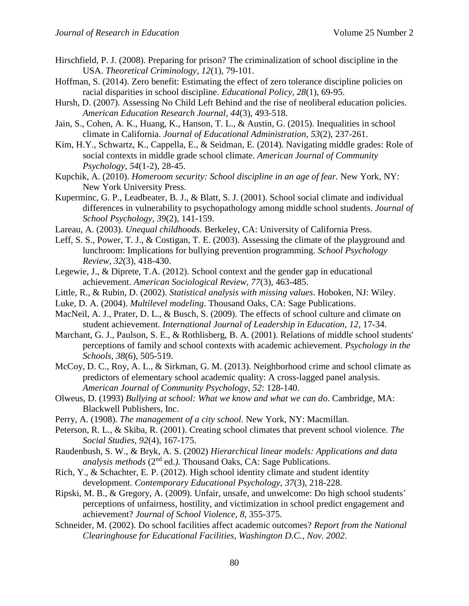- Hirschfield, P. J. (2008). Preparing for prison? The criminalization of school discipline in the USA. *Theoretical Criminology, 12*(1), 79-101.
- Hoffman, S. (2014). Zero benefit: Estimating the effect of zero tolerance discipline policies on racial disparities in school discipline. *Educational Policy, 28*(1), 69-95.
- Hursh, D. (2007). Assessing No Child Left Behind and the rise of neoliberal education policies. *American Education Research Journal*, *44*(3), 493-518.
- Jain, S., Cohen, A. K., Huang, K., Hanson, T. L., & Austin, G. (2015). Inequalities in school climate in California. *Journal of Educational Administration, 53*(2), 237-261.
- Kim, H.Y., Schwartz, K., Cappella, E., & Seidman, E. (2014). Navigating middle grades: Role of social contexts in middle grade school climate. *American Journal of Community Psychology, 54*(1-2), 28-45.
- Kupchik, A. (2010). *Homeroom security: School discipline in an age of fear.* New York, NY: New York University Press.
- Kuperminc, G. P., Leadbeater, B. J., & Blatt, S. J. (2001). School social climate and individual differences in vulnerability to psychopathology among middle school students. *Journal of School Psychology, 39*(2), 141-159.
- Lareau, A. (2003). *Unequal childhoods.* Berkeley, CA: University of California Press.
- Leff, S. S., Power, T. J., & Costigan, T. E. (2003). Assessing the climate of the playground and lunchroom: Implications for bullying prevention programming. *School Psychology Review, 32*(3), 418-430.
- Legewie, J., & Diprete, T.A. (2012). School context and the gender gap in educational achievement. *American Sociological Review, 77*(3), 463-485.
- Little, R., & Rubin, D. (2002). *Statistical analysis with missing values*. Hoboken, NJ: Wiley.
- Luke, D. A. (2004). *Multilevel modeling*. Thousand Oaks, CA: Sage Publications.
- MacNeil, A. J., Prater, D. L., & Busch, S. (2009). The effects of school culture and climate on student achievement. *International Journal of Leadership in Education*, *12*, 17-34.
- Marchant, G. J., Paulson, S. E., & Rothlisberg, B. A. (2001). Relations of middle school students' perceptions of family and school contexts with academic achievement. *Psychology in the Schools, 38*(6), 505-519.
- McCoy, D. C., Roy, A. L., & Sirkman, G. M. (2013). Neighborhood crime and school climate as predictors of elementary school academic quality: A cross-lagged panel analysis. *American Journal of Community Psychology, 52*: 128-140.
- Olweus, D. (1993) *Bullying at school: What we know and what we can do*. Cambridge, MA: Blackwell Publishers, Inc.
- Perry, A. (1908). *The management of a city school.* New York, NY: Macmillan.
- Peterson, R. L., & Skiba, R. (2001). Creating school climates that prevent school violence. *The Social Studies, 92*(4), 167-175.
- Raudenbush, S. W., & Bryk, A. S. (2002) *Hierarchical linear models: Applications and data*  analysis methods (2<sup>nd</sup> ed.). Thousand Oaks, CA: Sage Publications.
- Rich, Y., & Schachter, E. P. (2012). High school identity climate and student identity development. *Contemporary Educational Psychology, 37*(3), 218-228.
- Ripski, M. B., & Gregory, A. (2009). Unfair, unsafe, and unwelcome: Do high school students' perceptions of unfairness, hostility, and victimization in school predict engagement and achievement? *Journal of School Violence, 8*, 355-375.
- Schneider, M. (2002). Do school facilities affect academic outcomes? *Report from the National Clearinghouse for Educational Facilities, Washington D.C.*, *Nov. 2002*.